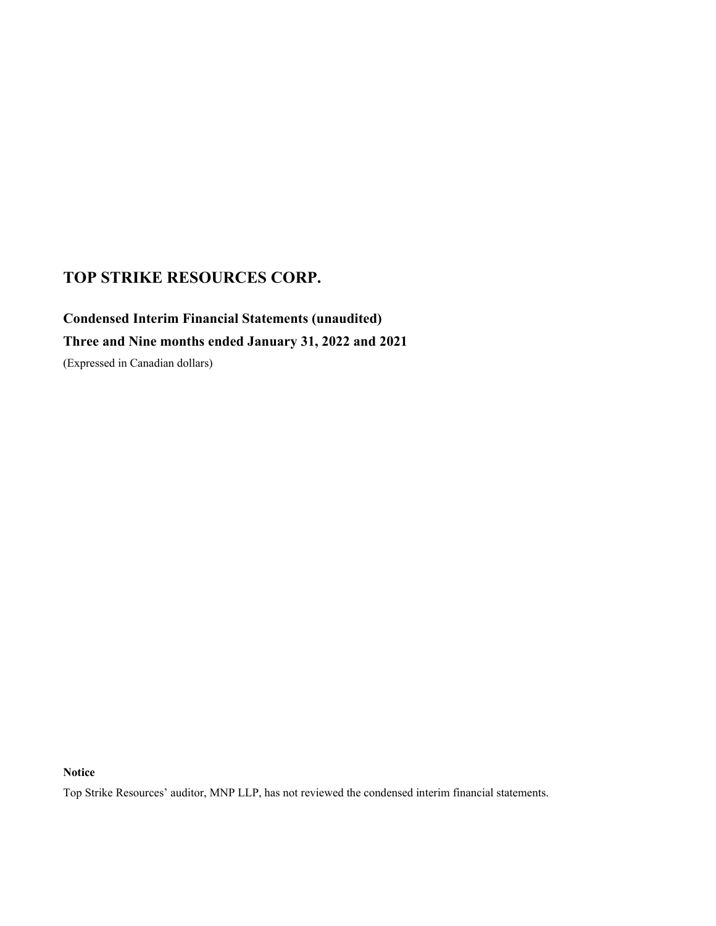# **Condensed Interim Financial Statements (unaudited) Three and Nine months ended January 31, 2022 and 2021**

(Expressed in Canadian dollars)

**Notice**

Top Strike Resources' auditor, MNP LLP, has not reviewed the condensed interim financial statements.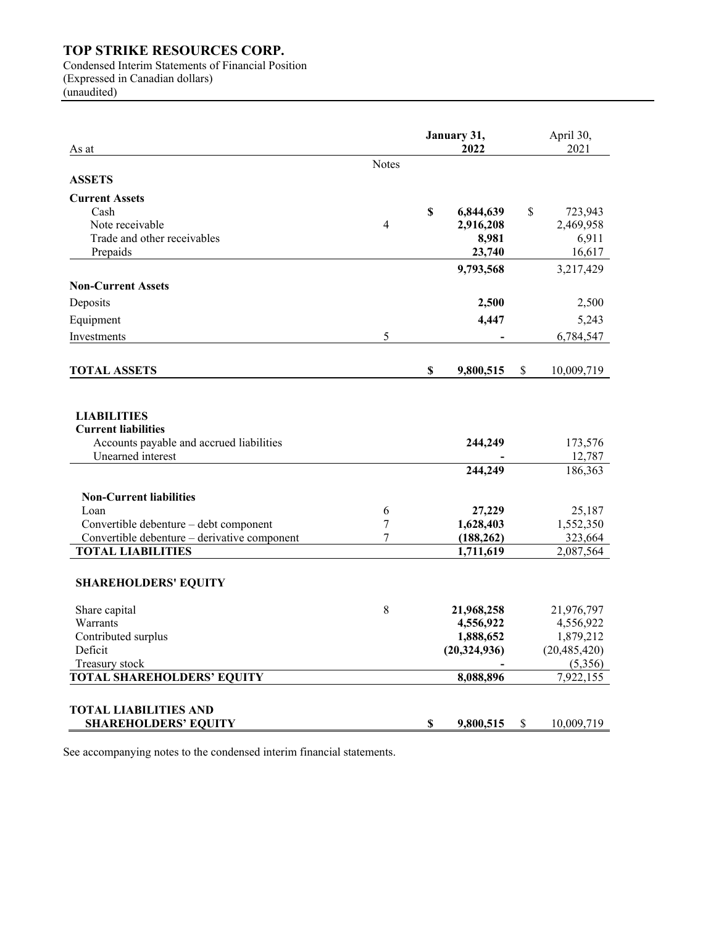Condensed Interim Statements of Financial Position (Expressed in Canadian dollars)

(unaudited)

| As at                                            |                | January 31,<br>2022 | April 30,<br>2021 |
|--------------------------------------------------|----------------|---------------------|-------------------|
|                                                  | <b>Notes</b>   |                     |                   |
| <b>ASSETS</b>                                    |                |                     |                   |
| <b>Current Assets</b>                            |                |                     |                   |
| Cash                                             |                | \$<br>6,844,639     | \$<br>723,943     |
| Note receivable                                  | $\overline{4}$ | 2,916,208           | 2,469,958         |
| Trade and other receivables                      |                | 8,981               | 6,911             |
| Prepaids                                         |                | 23,740              | 16,617            |
|                                                  |                | 9,793,568           | 3,217,429         |
| <b>Non-Current Assets</b>                        |                |                     |                   |
| Deposits                                         |                | 2,500               | 2,500             |
| Equipment                                        |                | 4,447               | 5,243             |
| Investments                                      | 5              |                     | 6,784,547         |
|                                                  |                |                     |                   |
| <b>TOTAL ASSETS</b>                              |                | \$<br>9,800,515     | \$<br>10,009,719  |
| <b>LIABILITIES</b><br><b>Current liabilities</b> |                |                     |                   |
| Accounts payable and accrued liabilities         |                | 244,249             | 173,576           |
| Unearned interest                                |                |                     | 12,787            |
|                                                  |                | 244,249             | 186,363           |
| <b>Non-Current liabilities</b>                   |                |                     |                   |
| Loan                                             | 6              | 27,229              | 25,187            |
| Convertible debenture - debt component           | 7              | 1,628,403           | 1,552,350         |
| Convertible debenture - derivative component     | $\overline{7}$ | (188, 262)          | 323,664           |
| <b>TOTAL LIABILITIES</b>                         |                | 1,711,619           | 2,087,564         |
| <b>SHAREHOLDERS' EQUITY</b>                      |                |                     |                   |
| Share capital                                    | 8              | 21,968,258          | 21,976,797        |
| Warrants                                         |                | 4,556,922           | 4,556,922         |
| Contributed surplus                              |                | 1,888,652           | 1,879,212         |
| Deficit                                          |                | (20, 324, 936)      | (20, 485, 420)    |
| Treasury stock                                   |                |                     | (5,356)           |
| <b>TOTAL SHAREHOLDERS' EQUITY</b>                |                | 8,088,896           | 7,922,155         |
| <b>TOTAL LIABILITIES AND</b>                     |                |                     |                   |
| <b>SHAREHOLDERS' EQUITY</b>                      |                | \$<br>9,800,515     | \$<br>10,009,719  |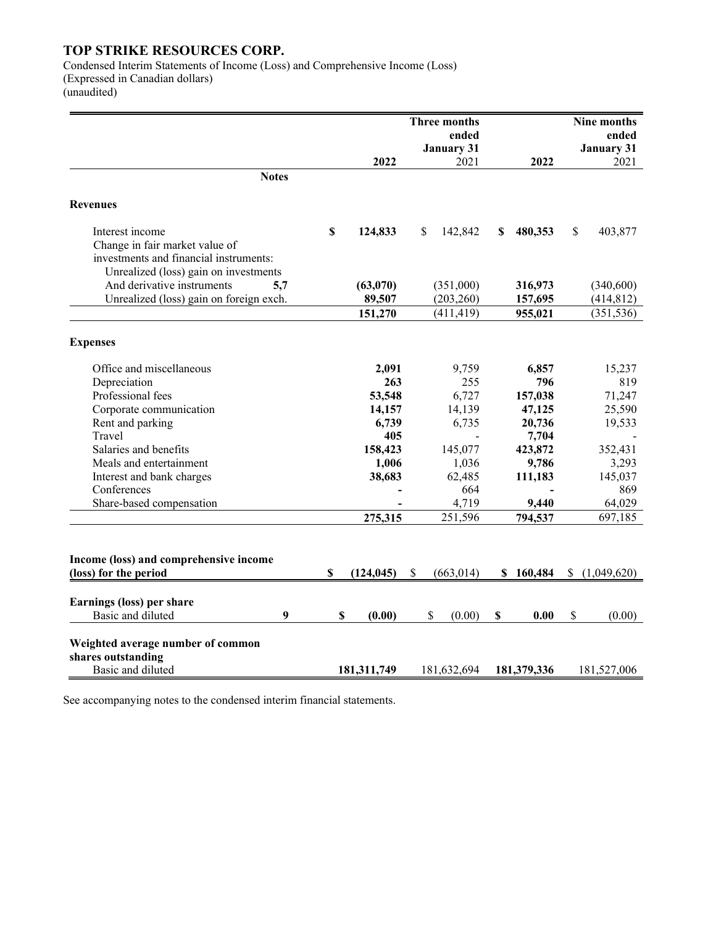Condensed Interim Statements of Income (Loss) and Comprehensive Income (Loss) (Expressed in Canadian dollars) (unaudited)

| ended<br>ended<br><b>January 31</b><br><b>January 31</b><br>2022<br>2022<br>2021<br>2021<br><b>Notes</b><br>\$<br>142,842<br>480,353<br>\$<br>403,877<br>Interest income<br>124,833<br>S.<br>S<br>Change in fair market value of<br>investments and financial instruments:<br>Unrealized (loss) gain on investments<br>And derivative instruments<br>5,7<br>(63,070)<br>(351,000)<br>316,973<br>(340,600)<br>Unrealized (loss) gain on foreign exch.<br>(203, 260)<br>(414, 812)<br>89,507<br>157,695<br>151,270<br>(411, 419)<br>(351, 536)<br>955,021<br>Office and miscellaneous<br>2,091<br>9,759<br>6,857<br>15,237<br>Depreciation<br>255<br>796<br>819<br>263<br>Professional fees<br>6,727<br>53,548<br>157,038<br>71,247<br>Corporate communication<br>25,590<br>14,157<br>14,139<br>47,125<br>19,533<br>Rent and parking<br>6,739<br>6,735<br>20,736<br>Travel<br>405<br>7,704<br>$\blacksquare$<br>Salaries and benefits<br>158,423<br>423,872<br>145,077<br>352,431<br>Meals and entertainment<br>1,006<br>1,036<br>9,786<br>3,293<br>38,683<br>62,485<br>145,037<br>Interest and bank charges<br>111,183<br>Conferences<br>664<br>869<br>Share-based compensation<br>4,719<br>9,440<br>64,029<br>251,596<br>697,185<br>275,315<br>794,537<br>(loss) for the period<br>\$<br>(124, 045)<br>\$<br>(663, 014)<br>\$160,484<br>\$<br>(1,049,620)<br>Earnings (loss) per share<br>Basic and diluted<br>9<br>\$<br>\$<br>\$<br>(0.00)<br>(0.00)<br>\$<br>0.00<br>(0.00)<br>Weighted average number of common<br>shares outstanding<br>Basic and diluted<br>181,311,749<br>181,632,694<br>181,379,336<br>181,527,006 |                                        | Three months | Nine months |
|----------------------------------------------------------------------------------------------------------------------------------------------------------------------------------------------------------------------------------------------------------------------------------------------------------------------------------------------------------------------------------------------------------------------------------------------------------------------------------------------------------------------------------------------------------------------------------------------------------------------------------------------------------------------------------------------------------------------------------------------------------------------------------------------------------------------------------------------------------------------------------------------------------------------------------------------------------------------------------------------------------------------------------------------------------------------------------------------------------------------------------------------------------------------------------------------------------------------------------------------------------------------------------------------------------------------------------------------------------------------------------------------------------------------------------------------------------------------------------------------------------------------------------------------------------------------------------------------------------------------------|----------------------------------------|--------------|-------------|
|                                                                                                                                                                                                                                                                                                                                                                                                                                                                                                                                                                                                                                                                                                                                                                                                                                                                                                                                                                                                                                                                                                                                                                                                                                                                                                                                                                                                                                                                                                                                                                                                                            |                                        |              |             |
|                                                                                                                                                                                                                                                                                                                                                                                                                                                                                                                                                                                                                                                                                                                                                                                                                                                                                                                                                                                                                                                                                                                                                                                                                                                                                                                                                                                                                                                                                                                                                                                                                            |                                        |              |             |
|                                                                                                                                                                                                                                                                                                                                                                                                                                                                                                                                                                                                                                                                                                                                                                                                                                                                                                                                                                                                                                                                                                                                                                                                                                                                                                                                                                                                                                                                                                                                                                                                                            |                                        |              |             |
|                                                                                                                                                                                                                                                                                                                                                                                                                                                                                                                                                                                                                                                                                                                                                                                                                                                                                                                                                                                                                                                                                                                                                                                                                                                                                                                                                                                                                                                                                                                                                                                                                            |                                        |              |             |
|                                                                                                                                                                                                                                                                                                                                                                                                                                                                                                                                                                                                                                                                                                                                                                                                                                                                                                                                                                                                                                                                                                                                                                                                                                                                                                                                                                                                                                                                                                                                                                                                                            | <b>Revenues</b>                        |              |             |
|                                                                                                                                                                                                                                                                                                                                                                                                                                                                                                                                                                                                                                                                                                                                                                                                                                                                                                                                                                                                                                                                                                                                                                                                                                                                                                                                                                                                                                                                                                                                                                                                                            |                                        |              |             |
|                                                                                                                                                                                                                                                                                                                                                                                                                                                                                                                                                                                                                                                                                                                                                                                                                                                                                                                                                                                                                                                                                                                                                                                                                                                                                                                                                                                                                                                                                                                                                                                                                            |                                        |              |             |
|                                                                                                                                                                                                                                                                                                                                                                                                                                                                                                                                                                                                                                                                                                                                                                                                                                                                                                                                                                                                                                                                                                                                                                                                                                                                                                                                                                                                                                                                                                                                                                                                                            |                                        |              |             |
|                                                                                                                                                                                                                                                                                                                                                                                                                                                                                                                                                                                                                                                                                                                                                                                                                                                                                                                                                                                                                                                                                                                                                                                                                                                                                                                                                                                                                                                                                                                                                                                                                            |                                        |              |             |
|                                                                                                                                                                                                                                                                                                                                                                                                                                                                                                                                                                                                                                                                                                                                                                                                                                                                                                                                                                                                                                                                                                                                                                                                                                                                                                                                                                                                                                                                                                                                                                                                                            |                                        |              |             |
|                                                                                                                                                                                                                                                                                                                                                                                                                                                                                                                                                                                                                                                                                                                                                                                                                                                                                                                                                                                                                                                                                                                                                                                                                                                                                                                                                                                                                                                                                                                                                                                                                            |                                        |              |             |
|                                                                                                                                                                                                                                                                                                                                                                                                                                                                                                                                                                                                                                                                                                                                                                                                                                                                                                                                                                                                                                                                                                                                                                                                                                                                                                                                                                                                                                                                                                                                                                                                                            |                                        |              |             |
|                                                                                                                                                                                                                                                                                                                                                                                                                                                                                                                                                                                                                                                                                                                                                                                                                                                                                                                                                                                                                                                                                                                                                                                                                                                                                                                                                                                                                                                                                                                                                                                                                            |                                        |              |             |
|                                                                                                                                                                                                                                                                                                                                                                                                                                                                                                                                                                                                                                                                                                                                                                                                                                                                                                                                                                                                                                                                                                                                                                                                                                                                                                                                                                                                                                                                                                                                                                                                                            | <b>Expenses</b>                        |              |             |
|                                                                                                                                                                                                                                                                                                                                                                                                                                                                                                                                                                                                                                                                                                                                                                                                                                                                                                                                                                                                                                                                                                                                                                                                                                                                                                                                                                                                                                                                                                                                                                                                                            |                                        |              |             |
|                                                                                                                                                                                                                                                                                                                                                                                                                                                                                                                                                                                                                                                                                                                                                                                                                                                                                                                                                                                                                                                                                                                                                                                                                                                                                                                                                                                                                                                                                                                                                                                                                            |                                        |              |             |
|                                                                                                                                                                                                                                                                                                                                                                                                                                                                                                                                                                                                                                                                                                                                                                                                                                                                                                                                                                                                                                                                                                                                                                                                                                                                                                                                                                                                                                                                                                                                                                                                                            |                                        |              |             |
|                                                                                                                                                                                                                                                                                                                                                                                                                                                                                                                                                                                                                                                                                                                                                                                                                                                                                                                                                                                                                                                                                                                                                                                                                                                                                                                                                                                                                                                                                                                                                                                                                            |                                        |              |             |
|                                                                                                                                                                                                                                                                                                                                                                                                                                                                                                                                                                                                                                                                                                                                                                                                                                                                                                                                                                                                                                                                                                                                                                                                                                                                                                                                                                                                                                                                                                                                                                                                                            |                                        |              |             |
|                                                                                                                                                                                                                                                                                                                                                                                                                                                                                                                                                                                                                                                                                                                                                                                                                                                                                                                                                                                                                                                                                                                                                                                                                                                                                                                                                                                                                                                                                                                                                                                                                            |                                        |              |             |
|                                                                                                                                                                                                                                                                                                                                                                                                                                                                                                                                                                                                                                                                                                                                                                                                                                                                                                                                                                                                                                                                                                                                                                                                                                                                                                                                                                                                                                                                                                                                                                                                                            |                                        |              |             |
|                                                                                                                                                                                                                                                                                                                                                                                                                                                                                                                                                                                                                                                                                                                                                                                                                                                                                                                                                                                                                                                                                                                                                                                                                                                                                                                                                                                                                                                                                                                                                                                                                            |                                        |              |             |
|                                                                                                                                                                                                                                                                                                                                                                                                                                                                                                                                                                                                                                                                                                                                                                                                                                                                                                                                                                                                                                                                                                                                                                                                                                                                                                                                                                                                                                                                                                                                                                                                                            |                                        |              |             |
|                                                                                                                                                                                                                                                                                                                                                                                                                                                                                                                                                                                                                                                                                                                                                                                                                                                                                                                                                                                                                                                                                                                                                                                                                                                                                                                                                                                                                                                                                                                                                                                                                            |                                        |              |             |
|                                                                                                                                                                                                                                                                                                                                                                                                                                                                                                                                                                                                                                                                                                                                                                                                                                                                                                                                                                                                                                                                                                                                                                                                                                                                                                                                                                                                                                                                                                                                                                                                                            |                                        |              |             |
|                                                                                                                                                                                                                                                                                                                                                                                                                                                                                                                                                                                                                                                                                                                                                                                                                                                                                                                                                                                                                                                                                                                                                                                                                                                                                                                                                                                                                                                                                                                                                                                                                            |                                        |              |             |
|                                                                                                                                                                                                                                                                                                                                                                                                                                                                                                                                                                                                                                                                                                                                                                                                                                                                                                                                                                                                                                                                                                                                                                                                                                                                                                                                                                                                                                                                                                                                                                                                                            |                                        |              |             |
|                                                                                                                                                                                                                                                                                                                                                                                                                                                                                                                                                                                                                                                                                                                                                                                                                                                                                                                                                                                                                                                                                                                                                                                                                                                                                                                                                                                                                                                                                                                                                                                                                            | Income (loss) and comprehensive income |              |             |
|                                                                                                                                                                                                                                                                                                                                                                                                                                                                                                                                                                                                                                                                                                                                                                                                                                                                                                                                                                                                                                                                                                                                                                                                                                                                                                                                                                                                                                                                                                                                                                                                                            |                                        |              |             |
|                                                                                                                                                                                                                                                                                                                                                                                                                                                                                                                                                                                                                                                                                                                                                                                                                                                                                                                                                                                                                                                                                                                                                                                                                                                                                                                                                                                                                                                                                                                                                                                                                            |                                        |              |             |
|                                                                                                                                                                                                                                                                                                                                                                                                                                                                                                                                                                                                                                                                                                                                                                                                                                                                                                                                                                                                                                                                                                                                                                                                                                                                                                                                                                                                                                                                                                                                                                                                                            |                                        |              |             |
|                                                                                                                                                                                                                                                                                                                                                                                                                                                                                                                                                                                                                                                                                                                                                                                                                                                                                                                                                                                                                                                                                                                                                                                                                                                                                                                                                                                                                                                                                                                                                                                                                            |                                        |              |             |
|                                                                                                                                                                                                                                                                                                                                                                                                                                                                                                                                                                                                                                                                                                                                                                                                                                                                                                                                                                                                                                                                                                                                                                                                                                                                                                                                                                                                                                                                                                                                                                                                                            |                                        |              |             |
|                                                                                                                                                                                                                                                                                                                                                                                                                                                                                                                                                                                                                                                                                                                                                                                                                                                                                                                                                                                                                                                                                                                                                                                                                                                                                                                                                                                                                                                                                                                                                                                                                            |                                        |              |             |
|                                                                                                                                                                                                                                                                                                                                                                                                                                                                                                                                                                                                                                                                                                                                                                                                                                                                                                                                                                                                                                                                                                                                                                                                                                                                                                                                                                                                                                                                                                                                                                                                                            |                                        |              |             |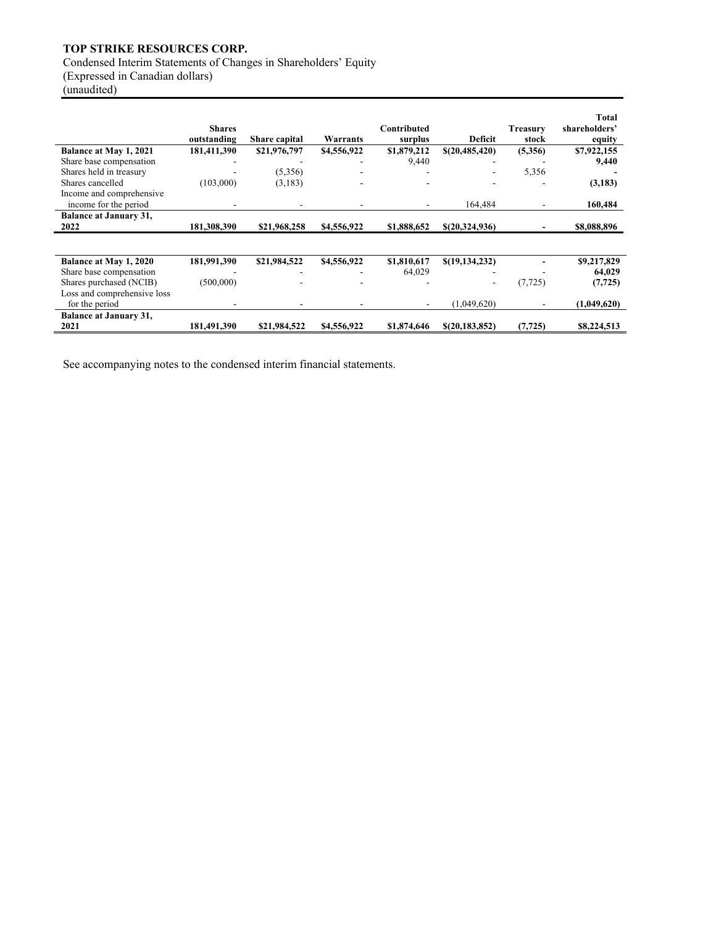Condensed Interim Statements of Changes in Shareholders' Equity (Expressed in Canadian dollars)

(unaudited)

|                                                   | <b>Shares</b><br>outstanding | <b>Share capital</b> | Warrants    | Contributed<br>surplus | Deficit          | <b>Treasury</b><br>stock | Total<br>shareholders'<br>equity |
|---------------------------------------------------|------------------------------|----------------------|-------------|------------------------|------------------|--------------------------|----------------------------------|
| Balance at May 1, 2021                            | 181,411,390                  | \$21,976,797         | \$4,556,922 | \$1,879,212            | \$(20,485,420)   | (5,356)                  | \$7,922,155                      |
| Share base compensation                           |                              |                      |             | 9,440                  |                  |                          | 9,440                            |
| Shares held in treasury                           |                              | (5,356)              |             |                        |                  | 5,356                    |                                  |
| Shares cancelled                                  | (103,000)                    | (3,183)              |             |                        |                  |                          | (3,183)                          |
| Income and comprehensive<br>income for the period |                              |                      |             | ۰                      | 164,484          | ٠                        | 160,484                          |
| <b>Balance at January 31,</b>                     |                              |                      |             |                        |                  |                          |                                  |
| 2022                                              | 181,308,390                  | \$21,968,258         | \$4,556,922 | \$1,888,652            | \$(20,324,936)   |                          | \$8,088,896                      |
|                                                   |                              |                      |             |                        |                  |                          |                                  |
| Balance at May 1, 2020                            | 181,991,390                  | \$21,984,522         | \$4,556,922 | \$1,810,617            | \$(19, 134, 232) |                          | \$9,217,829                      |
| Share base compensation                           |                              |                      |             | 64,029                 |                  |                          | 64.029                           |
| Shares purchased (NCIB)                           | (500,000)                    |                      |             |                        |                  | (7, 725)                 | (7, 725)                         |
| Loss and comprehensive loss                       |                              |                      |             |                        |                  |                          |                                  |
| for the period                                    |                              |                      |             | $\sim$                 | (1.049.620)      |                          | (1,049,620)                      |
| <b>Balance at January 31,</b><br>2021             | 181,491,390                  | \$21,984,522         | \$4,556,922 | \$1,874,646            | \$(20, 183, 852) | (7, 725)                 | \$8,224,513                      |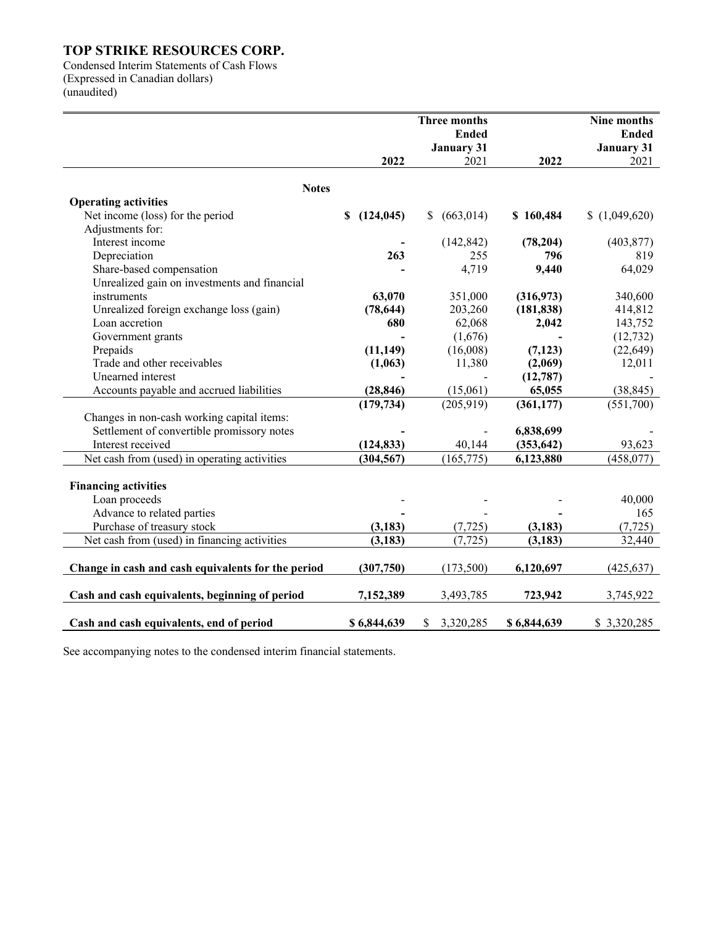Condensed Interim Statements of Cash Flows (Expressed in Canadian dollars) (unaudited)

|                                                    |                  | Three months<br><b>Ended</b> |             | Nine months<br><b>Ended</b> |
|----------------------------------------------------|------------------|------------------------------|-------------|-----------------------------|
|                                                    | 2022             | <b>January 31</b><br>2021    | 2022        | <b>January 31</b><br>2021   |
|                                                    |                  |                              |             |                             |
| <b>Notes</b><br><b>Operating activities</b>        |                  |                              |             |                             |
| Net income (loss) for the period                   | \$<br>(124, 045) | (663, 014)<br>\$             | \$160,484   | (1,049,620)                 |
| Adjustments for:                                   |                  |                              |             |                             |
| Interest income                                    |                  |                              | (78, 204)   |                             |
| Depreciation                                       | 263              | (142, 842)<br>255            | 796         | (403, 877)<br>819           |
| Share-based compensation                           |                  | 4,719                        | 9,440       | 64,029                      |
| Unrealized gain on investments and financial       |                  |                              |             |                             |
| instruments                                        | 63,070           | 351,000                      | (316,973)   | 340,600                     |
| Unrealized foreign exchange loss (gain)            | (78, 644)        | 203,260                      | (181, 838)  | 414,812                     |
| Loan accretion                                     | 680              | 62,068                       | 2,042       | 143,752                     |
|                                                    |                  | (1,676)                      |             |                             |
| Government grants                                  |                  |                              |             | (12, 732)                   |
| Prepaids<br>Trade and other receivables            | (11, 149)        | (16,008)                     | (7, 123)    | (22, 649)                   |
| Unearned interest                                  | (1,063)          | 11,380                       | (2,069)     | 12,011                      |
|                                                    |                  |                              | (12, 787)   |                             |
| Accounts payable and accrued liabilities           | (28, 846)        | (15,061)                     | 65,055      | (38, 845)                   |
|                                                    | (179, 734)       | (205, 919)                   | (361, 177)  | (551,700)                   |
| Changes in non-cash working capital items:         |                  |                              |             |                             |
| Settlement of convertible promissory notes         |                  |                              | 6,838,699   |                             |
| Interest received                                  | (124, 833)       | 40,144                       | (353, 642)  | 93,623                      |
| Net cash from (used) in operating activities       | (304, 567)       | (165, 775)                   | 6,123,880   | (458, 077)                  |
|                                                    |                  |                              |             |                             |
| <b>Financing activities</b>                        |                  |                              |             |                             |
| Loan proceeds                                      |                  |                              |             | 40,000                      |
| Advance to related parties                         |                  |                              |             | 165                         |
| Purchase of treasury stock                         | (3, 183)         | (7, 725)                     | (3, 183)    | (7, 725)                    |
| Net cash from (used) in financing activities       | (3, 183)         | (7, 725)                     | (3, 183)    | 32,440                      |
|                                                    |                  |                              |             |                             |
| Change in cash and cash equivalents for the period | (307,750)        | (173,500)                    | 6,120,697   | (425, 637)                  |
| Cash and cash equivalents, beginning of period     | 7,152,389        | 3,493,785                    | 723,942     | 3,745,922                   |
|                                                    |                  |                              |             |                             |
| Cash and cash equivalents, end of period           | \$6,844,639      | 3,320,285<br>\$              | \$6,844,639 | \$3,320,285                 |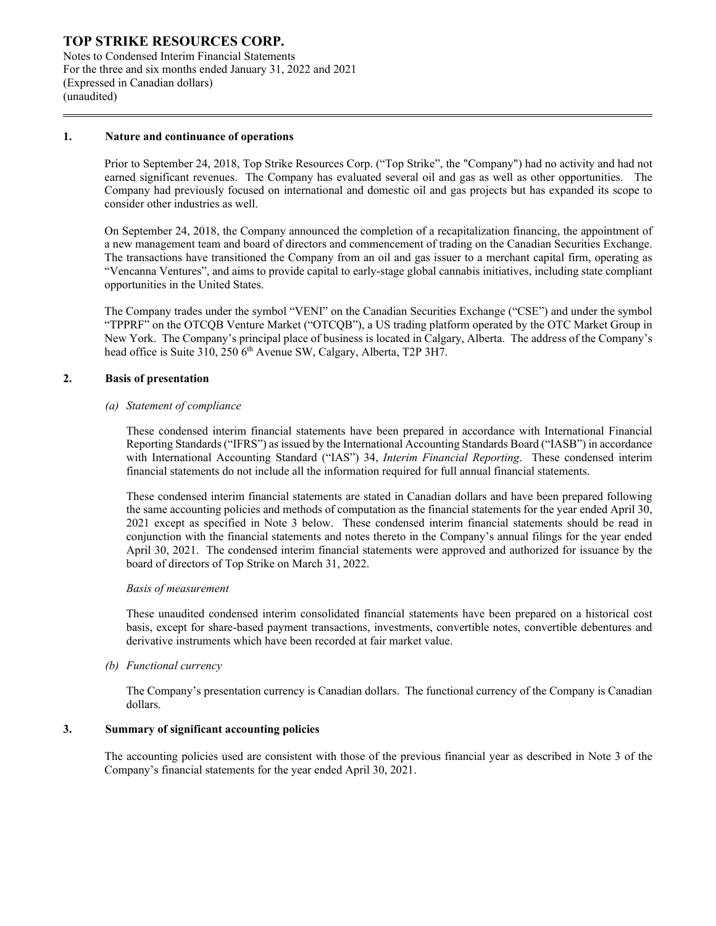Notes to Condensed Interim Financial Statements For the three and six months ended January 31, 2022 and 2021 (Expressed in Canadian dollars) (unaudited)

#### **1. Nature and continuance of operations**

Prior to September 24, 2018, Top Strike Resources Corp. ("Top Strike", the "Company") had no activity and had not earned significant revenues. The Company has evaluated several oil and gas as well as other opportunities. The Company had previously focused on international and domestic oil and gas projects but has expanded its scope to consider other industries as well.

On September 24, 2018, the Company announced the completion of a recapitalization financing, the appointment of a new management team and board of directors and commencement of trading on the Canadian Securities Exchange. The transactions have transitioned the Company from an oil and gas issuer to a merchant capital firm, operating as "Vencanna Ventures", and aims to provide capital to early-stage global cannabis initiatives, including state compliant opportunities in the United States.

The Company trades under the symbol "VENI" on the Canadian Securities Exchange ("CSE") and under the symbol "TPPRF" on the OTCQB Venture Market ("OTCQB"), a US trading platform operated by the OTC Market Group in New York. The Company's principal place of business is located in Calgary, Alberta. The address of the Company's head office is Suite 310, 250 6<sup>th</sup> Avenue SW, Calgary, Alberta, T2P 3H7.

#### **2. Basis of presentation**

#### *(a) Statement of compliance*

These condensed interim financial statements have been prepared in accordance with International Financial Reporting Standards ("IFRS") as issued by the International Accounting Standards Board ("IASB") in accordance with International Accounting Standard ("IAS") 34, *Interim Financial Reporting*. These condensed interim financial statements do not include all the information required for full annual financial statements.

These condensed interim financial statements are stated in Canadian dollars and have been prepared following the same accounting policies and methods of computation as the financial statements for the year ended April 30, 2021 except as specified in Note 3 below. These condensed interim financial statements should be read in conjunction with the financial statements and notes thereto in the Company's annual filings for the year ended April 30, 2021. The condensed interim financial statements were approved and authorized for issuance by the board of directors of Top Strike on March 31, 2022.

#### *Basis of measurement*

These unaudited condensed interim consolidated financial statements have been prepared on a historical cost basis, except for share-based payment transactions, investments, convertible notes, convertible debentures and derivative instruments which have been recorded at fair market value.

*(b) Functional currency*

The Company's presentation currency is Canadian dollars. The functional currency of the Company is Canadian dollars.

#### **3. Summary of significant accounting policies**

The accounting policies used are consistent with those of the previous financial year as described in Note 3 of the Company's financial statements for the year ended April 30, 2021.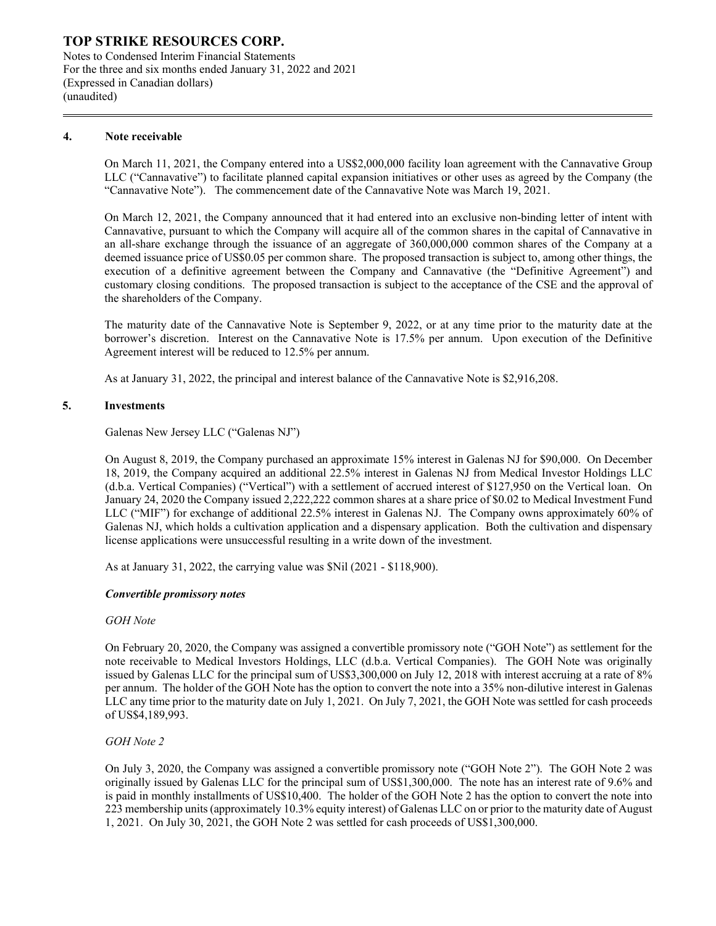Notes to Condensed Interim Financial Statements For the three and six months ended January 31, 2022 and 2021 (Expressed in Canadian dollars) (unaudited)

#### **4. Note receivable**

On March 11, 2021, the Company entered into a US\$2,000,000 facility loan agreement with the Cannavative Group LLC ("Cannavative") to facilitate planned capital expansion initiatives or other uses as agreed by the Company (the "Cannavative Note"). The commencement date of the Cannavative Note was March 19, 2021.

On March 12, 2021, the Company announced that it had entered into an exclusive non-binding letter of intent with Cannavative, pursuant to which the Company will acquire all of the common shares in the capital of Cannavative in an all-share exchange through the issuance of an aggregate of 360,000,000 common shares of the Company at a deemed issuance price of US\$0.05 per common share. The proposed transaction is subject to, among other things, the execution of a definitive agreement between the Company and Cannavative (the "Definitive Agreement") and customary closing conditions. The proposed transaction is subject to the acceptance of the CSE and the approval of the shareholders of the Company.

The maturity date of the Cannavative Note is September 9, 2022, or at any time prior to the maturity date at the borrower's discretion. Interest on the Cannavative Note is 17.5% per annum. Upon execution of the Definitive Agreement interest will be reduced to 12.5% per annum.

As at January 31, 2022, the principal and interest balance of the Cannavative Note is \$2,916,208.

#### **5. Investments**

Galenas New Jersey LLC ("Galenas NJ")

On August 8, 2019, the Company purchased an approximate 15% interest in Galenas NJ for \$90,000. On December 18, 2019, the Company acquired an additional 22.5% interest in Galenas NJ from Medical Investor Holdings LLC (d.b.a. Vertical Companies) ("Vertical") with a settlement of accrued interest of \$127,950 on the Vertical loan. On January 24, 2020 the Company issued 2,222,222 common shares at a share price of \$0.02 to Medical Investment Fund LLC ("MIF") for exchange of additional 22.5% interest in Galenas NJ. The Company owns approximately 60% of Galenas NJ, which holds a cultivation application and a dispensary application. Both the cultivation and dispensary license applications were unsuccessful resulting in a write down of the investment.

As at January 31, 2022, the carrying value was \$Nil (2021 - \$118,900).

#### *Convertible promissory notes*

#### *GOH Note*

On February 20, 2020, the Company was assigned a convertible promissory note ("GOH Note") as settlement for the note receivable to Medical Investors Holdings, LLC (d.b.a. Vertical Companies). The GOH Note was originally issued by Galenas LLC for the principal sum of US\$3,300,000 on July 12, 2018 with interest accruing at a rate of 8% per annum. The holder of the GOH Note has the option to convert the note into a 35% non-dilutive interest in Galenas LLC any time prior to the maturity date on July 1, 2021. On July 7, 2021, the GOH Note was settled for cash proceeds of US\$4,189,993.

#### *GOH Note 2*

On July 3, 2020, the Company was assigned a convertible promissory note ("GOH Note 2"). The GOH Note 2 was originally issued by Galenas LLC for the principal sum of US\$1,300,000. The note has an interest rate of 9.6% and is paid in monthly installments of US\$10,400. The holder of the GOH Note 2 has the option to convert the note into 223 membership units (approximately 10.3% equity interest) of Galenas LLC on or prior to the maturity date of August 1, 2021. On July 30, 2021, the GOH Note 2 was settled for cash proceeds of US\$1,300,000.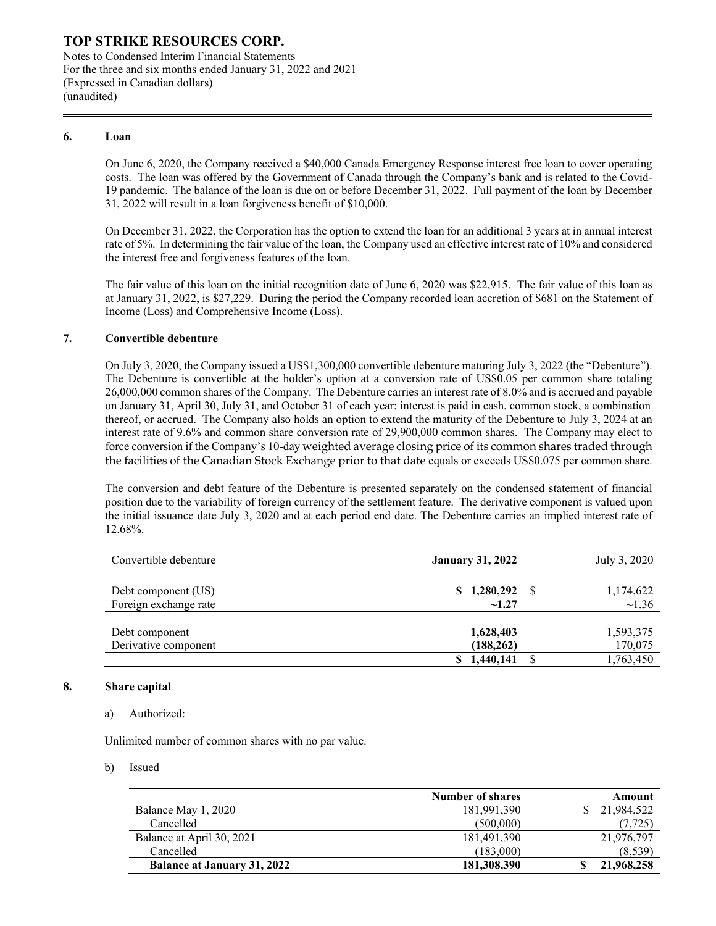Notes to Condensed Interim Financial Statements For the three and six months ended January 31, 2022 and 2021 (Expressed in Canadian dollars) (unaudited)

#### **6. Loan**

On June 6, 2020, the Company received a \$40,000 Canada Emergency Response interest free loan to cover operating costs. The loan was offered by the Government of Canada through the Company's bank and is related to the Covid-19 pandemic. The balance of the loan is due on or before December 31, 2022. Full payment of the loan by December 31, 2022 will result in a loan forgiveness benefit of \$10,000.

On December 31, 2022, the Corporation has the option to extend the loan for an additional 3 years at in annual interest rate of 5%. In determining the fair value of the loan, the Company used an effective interest rate of 10% and considered the interest free and forgiveness features of the loan.

The fair value of this loan on the initial recognition date of June 6, 2020 was \$22,915. The fair value of this loan as at January 31, 2022, is \$27,229. During the period the Company recorded loan accretion of \$681 on the Statement of Income (Loss) and Comprehensive Income (Loss).

#### **7. Convertible debenture**

On July 3, 2020, the Company issued a US\$1,300,000 convertible debenture maturing July 3, 2022 (the "Debenture"). The Debenture is convertible at the holder's option at a conversion rate of US\$0.05 per common share totaling 26,000,000 common shares of the Company. The Debenture carries an interest rate of 8.0% and is accrued and payable on January 31, April 30, July 31, and October 31 of each year; interest is paid in cash, common stock, a combination thereof, or accrued. The Company also holds an option to extend the maturity of the Debenture to July 3, 2024 at an interest rate of 9.6% and common share conversion rate of 29,900,000 common shares. The Company may elect to force conversion if the Company's 10-day weighted average closing price of its common shares traded through the facilities of the Canadian Stock Exchange prior to that date equals or exceeds US\$0.075 per common share.

The conversion and debt feature of the Debenture is presented separately on the condensed statement of financial position due to the variability of foreign currency of the settlement feature. The derivative component is valued upon the initial issuance date July 3, 2020 and at each period end date. The Debenture carries an implied interest rate of 12.68%.

| Convertible debenture | <b>January 31, 2022</b> | July 3, 2020 |           |
|-----------------------|-------------------------|--------------|-----------|
| Debt component (US)   | \$1,280,292             | -S           | 1,174,622 |
| Foreign exchange rate | ~1.27                   |              | ~1.36     |
| Debt component        | 1,628,403               |              | 1,593,375 |
| Derivative component  | (188, 262)              |              | 170,075   |
|                       | 1,440,141               |              | 1,763,450 |

#### **8. Share capital**

#### a) Authorized:

Unlimited number of common shares with no par value.

b) Issued

|                                    | Number of shares | Amount     |
|------------------------------------|------------------|------------|
| Balance May 1, 2020                | 181,991,390      | 21,984,522 |
| Cancelled                          | (500,000)        | (7, 725)   |
| Balance at April 30, 2021          | 181,491,390      | 21,976,797 |
| Cancelled                          | (183,000)        | (8,539)    |
| <b>Balance at January 31, 2022</b> | 181,308,390      | 21,968,258 |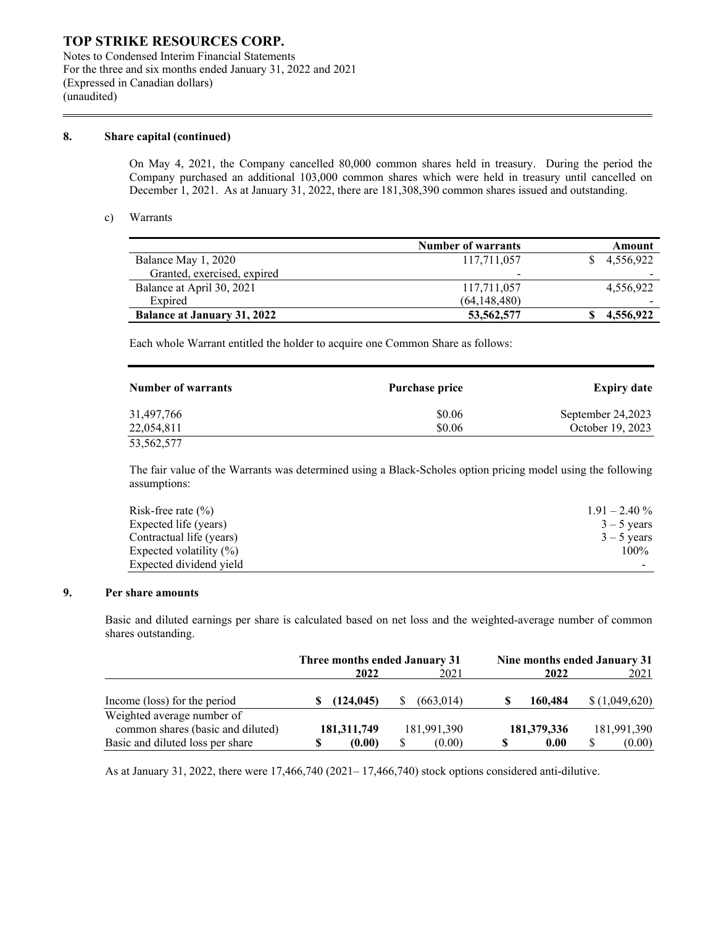Notes to Condensed Interim Financial Statements For the three and six months ended January 31, 2022 and 2021 (Expressed in Canadian dollars) (unaudited)

#### **8. Share capital (continued)**

On May 4, 2021, the Company cancelled 80,000 common shares held in treasury. During the period the Company purchased an additional 103,000 common shares which were held in treasury until cancelled on December 1, 2021. As at January 31, 2022, there are 181,308,390 common shares issued and outstanding.

#### c) Warrants

|                                    | <b>Number of warrants</b> | Amount                   |
|------------------------------------|---------------------------|--------------------------|
| Balance May 1, 2020                | 117,711,057               | 4,556,922                |
| Granted, exercised, expired        | $\overline{\phantom{0}}$  | $\overline{\phantom{0}}$ |
| Balance at April 30, 2021          | 117,711,057               | 4,556,922                |
| Expired                            | (64, 148, 480)            |                          |
| <b>Balance at January 31, 2022</b> | 53, 562, 577              | 4.556.922                |

Each whole Warrant entitled the holder to acquire one Common Share as follows:

| <b>Number of warrants</b> | Purchase price | <b>Expiry date</b> |
|---------------------------|----------------|--------------------|
| 31,497,766                | \$0.06         | September 24,2023  |
| 22,054,811                | \$0.06         | October 19, 2023   |
| 53,562,577                |                |                    |

The fair value of the Warrants was determined using a Black-Scholes option pricing model using the following assumptions:

| Risk-free rate $(\% )$     | $1.91 - 2.40\%$ |
|----------------------------|-----------------|
| Expected life (years)      | $3 - 5$ years   |
| Contractual life (years)   | $3 - 5$ years   |
| Expected volatility $(\%)$ | 100%            |
| Expected dividend yield    |                 |

#### **9. Per share amounts**

Basic and diluted earnings per share is calculated based on net loss and the weighted-average number of common shares outstanding.

|                                                                 | Three months ended January 31<br>2021<br>2022 |             | Nine months ended January 31<br>2022 | 2021        |
|-----------------------------------------------------------------|-----------------------------------------------|-------------|--------------------------------------|-------------|
| Income (loss) for the period                                    | (124.045)                                     | (663.014)   | 160,484                              | (1,049,620) |
| Weighted average number of<br>common shares (basic and diluted) | 181, 311, 749                                 | 181,991,390 | 181,379,336                          | 181,991,390 |
| Basic and diluted loss per share                                | (0.00)                                        | (0.00)      | 0.00                                 | (0.00)      |

As at January 31, 2022, there were 17,466,740 (2021– 17,466,740) stock options considered anti-dilutive.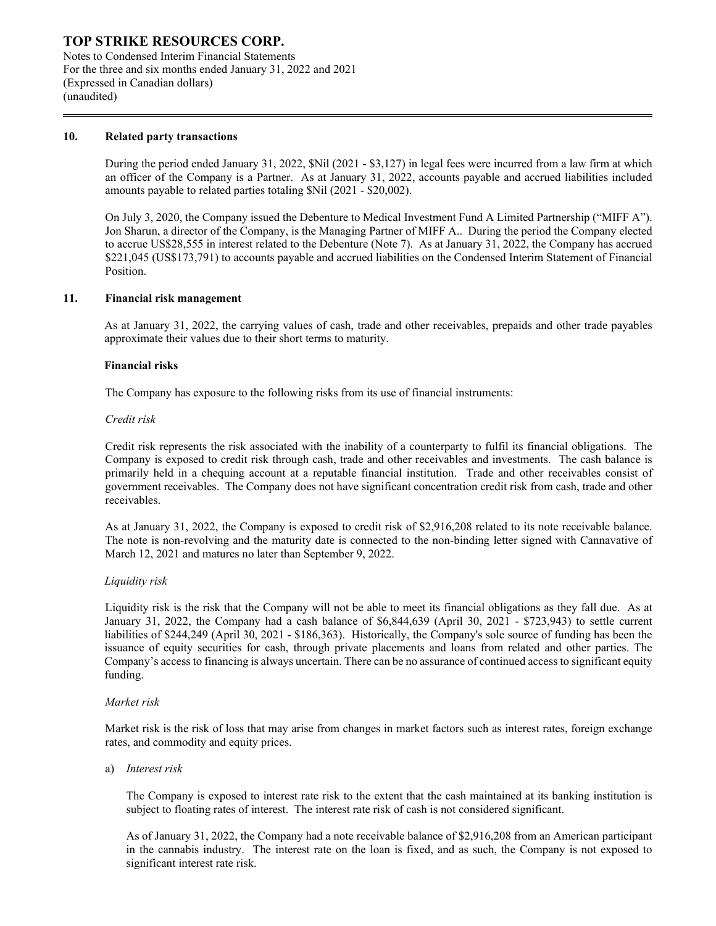Notes to Condensed Interim Financial Statements For the three and six months ended January 31, 2022 and 2021 (Expressed in Canadian dollars) (unaudited)

#### **10. Related party transactions**

During the period ended January 31, 2022, \$Nil (2021 - \$3,127) in legal fees were incurred from a law firm at which an officer of the Company is a Partner. As at January 31, 2022, accounts payable and accrued liabilities included amounts payable to related parties totaling \$Nil (2021 - \$20,002).

On July 3, 2020, the Company issued the Debenture to Medical Investment Fund A Limited Partnership ("MIFF A"). Jon Sharun, a director of the Company, is the Managing Partner of MIFF A.. During the period the Company elected to accrue US\$28,555 in interest related to the Debenture (Note 7). As at January 31, 2022, the Company has accrued \$221,045 (US\$173,791) to accounts payable and accrued liabilities on the Condensed Interim Statement of Financial Position.

#### **11. Financial risk management**

As at January 31, 2022, the carrying values of cash, trade and other receivables, prepaids and other trade payables approximate their values due to their short terms to maturity.

#### **Financial risks**

The Company has exposure to the following risks from its use of financial instruments:

#### *Credit risk*

Credit risk represents the risk associated with the inability of a counterparty to fulfil its financial obligations. The Company is exposed to credit risk through cash, trade and other receivables and investments. The cash balance is primarily held in a chequing account at a reputable financial institution. Trade and other receivables consist of government receivables. The Company does not have significant concentration credit risk from cash, trade and other receivables.

As at January 31, 2022, the Company is exposed to credit risk of \$2,916,208 related to its note receivable balance. The note is non-revolving and the maturity date is connected to the non-binding letter signed with Cannavative of March 12, 2021 and matures no later than September 9, 2022.

#### *Liquidity risk*

Liquidity risk is the risk that the Company will not be able to meet its financial obligations as they fall due. As at January 31, 2022, the Company had a cash balance of \$6,844,639 (April 30, 2021 - \$723,943) to settle current liabilities of \$244,249 (April 30, 2021 - \$186,363). Historically, the Company's sole source of funding has been the issuance of equity securities for cash, through private placements and loans from related and other parties. The Company's access to financing is always uncertain. There can be no assurance of continued access to significant equity funding.

#### *Market risk*

Market risk is the risk of loss that may arise from changes in market factors such as interest rates, foreign exchange rates, and commodity and equity prices.

#### a) *Interest risk*

The Company is exposed to interest rate risk to the extent that the cash maintained at its banking institution is subject to floating rates of interest. The interest rate risk of cash is not considered significant.

As of January 31, 2022, the Company had a note receivable balance of \$2,916,208 from an American participant in the cannabis industry. The interest rate on the loan is fixed, and as such, the Company is not exposed to significant interest rate risk.